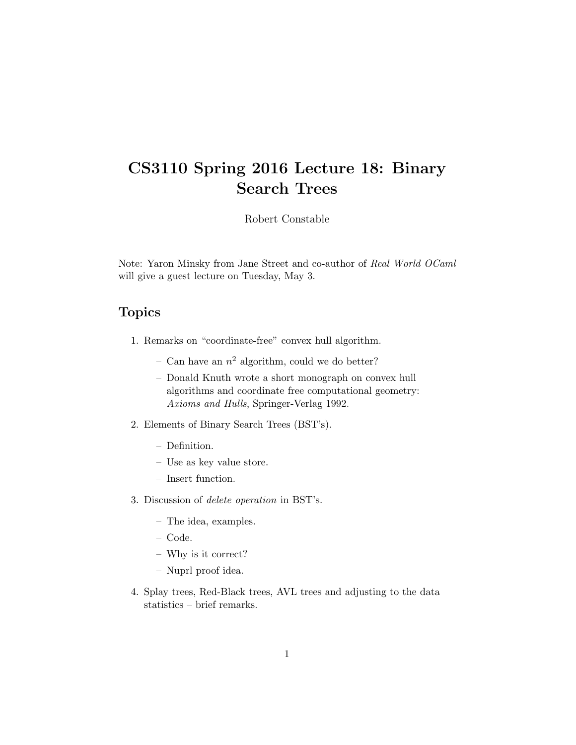# CS3110 Spring 2016 Lecture 18: Binary Search Trees

Robert Constable

Note: Yaron Minsky from Jane Street and co-author of Real World OCaml will give a guest lecture on Tuesday, May 3.

### Topics

- 1. Remarks on "coordinate-free" convex hull algorithm.
	- Can have an  $n^2$  algorithm, could we do better?
	- Donald Knuth wrote a short monograph on convex hull algorithms and coordinate free computational geometry: Axioms and Hulls, Springer-Verlag 1992.
- 2. Elements of Binary Search Trees (BST's).
	- Definition.
	- Use as key value store.
	- Insert function.
- 3. Discussion of delete operation in BST's.
	- The idea, examples.
	- Code.
	- Why is it correct?
	- Nuprl proof idea.
- 4. Splay trees, Red-Black trees, AVL trees and adjusting to the data statistics – brief remarks.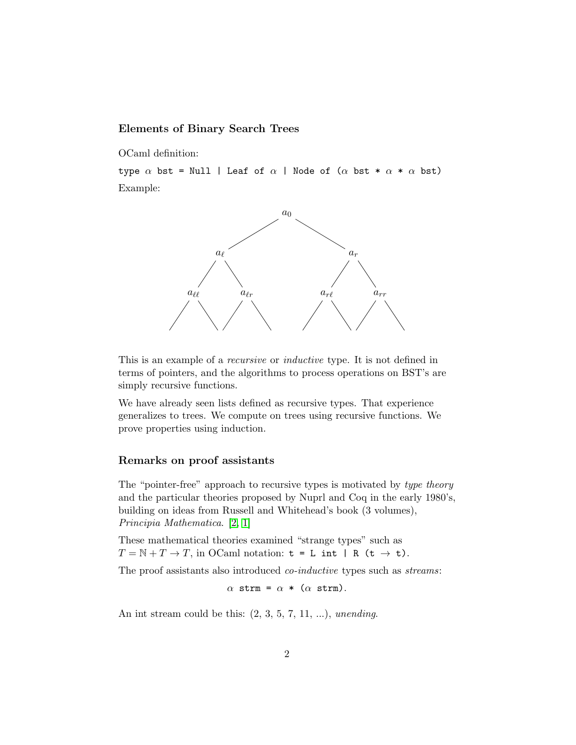#### Elements of Binary Search Trees

OCaml definition:

type  $\alpha$  bst = Null | Leaf of  $\alpha$  | Node of ( $\alpha$  bst \*  $\alpha$  \*  $\alpha$  bst) Example:



This is an example of a recursive or inductive type. It is not defined in terms of pointers, and the algorithms to process operations on BST's are simply recursive functions.

We have already seen lists defined as recursive types. That experience generalizes to trees. We compute on trees using recursive functions. We prove properties using induction.

#### Remarks on proof assistants

The "pointer-free" approach to recursive types is motivated by type theory and the particular theories proposed by Nuprl and Coq in the early 1980's, building on ideas from Russell and Whitehead's book (3 volumes), Principia Mathematica. [\[2,](#page-4-0) [1\]](#page-4-1)

These mathematical theories examined "strange types" such as  $T = \mathbb{N} + T \rightarrow T$ , in OCaml notation:  $t = L$  int | R ( $t \rightarrow t$ ).

The proof assistants also introduced co-inductive types such as streams:

 $\alpha$  strm =  $\alpha$  \* ( $\alpha$  strm).

An int stream could be this:  $(2, 3, 5, 7, 11, \ldots)$ , unending.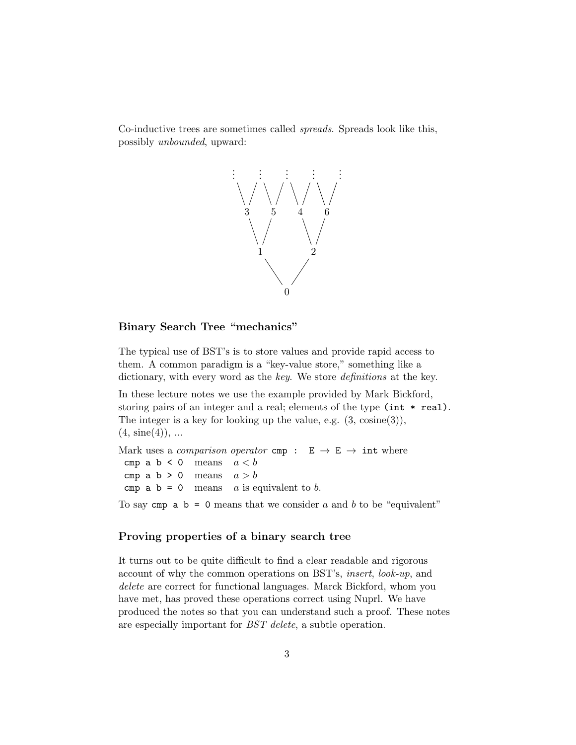Co-inductive trees are sometimes called spreads. Spreads look like this, possibly unbounded, upward:



#### Binary Search Tree "mechanics"

The typical use of BST's is to store values and provide rapid access to them. A common paradigm is a "key-value store," something like a dictionary, with every word as the key. We store definitions at the key.

In these lecture notes we use the example provided by Mark Bickford, storing pairs of an integer and a real; elements of the type (int \* real). The integer is a key for looking up the value, e.g. (3, cosine(3)),  $(4, \text{ sine}(4)), \dots$ 

Mark uses a *comparison operator* cmp :  $E \rightarrow E \rightarrow int$  where cmp a  $b < 0$  means  $a < b$ cmp a b > 0 means  $a > b$ cmp  $a \ b = 0$  means a is equivalent to b.

To say cmp  $a \ b = 0$  means that we consider a and b to be "equivalent"

#### Proving properties of a binary search tree

It turns out to be quite difficult to find a clear readable and rigorous account of why the common operations on BST's, insert, look-up, and delete are correct for functional languages. Marck Bickford, whom you have met, has proved these operations correct using Nuprl. We have produced the notes so that you can understand such a proof. These notes are especially important for BST delete, a subtle operation.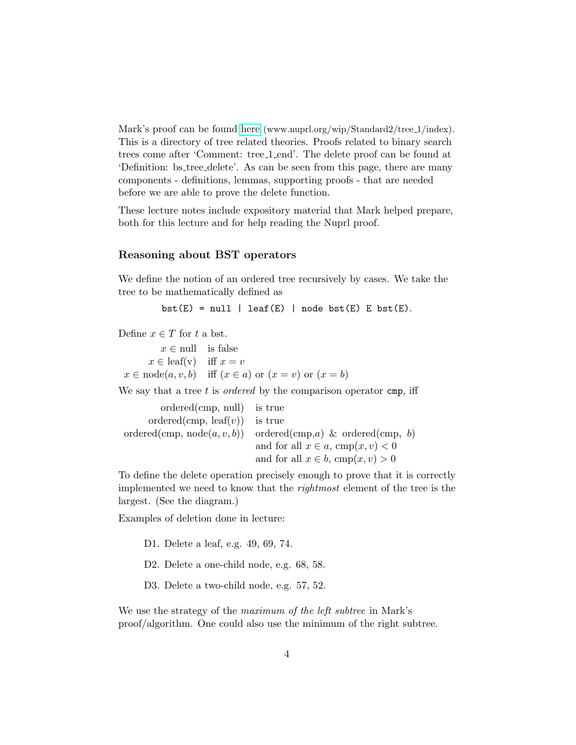Mark's proof can be found [here](http://www.nuprl.org/wip/Standard2/tree_1/index.html) (www.nuprl.org/wip/Standard2/tree\_1/index). This is a directory of tree related theories. Proofs related to binary search trees come after 'Comment: tree 1 end'. The delete proof can be found at 'Definition: bs tree delete'. As can be seen from this page, there are many components - definitions, lemmas, supporting proofs - that are needed before we are able to prove the delete function.

These lecture notes include expository material that Mark helped prepare, both for this lecture and for help reading the Nuprl proof.

#### Reasoning about BST operators

We define the notion of an ordered tree recursively by cases. We take the tree to be mathematically defined as

```
bst(E) = null \mid leaf(E) \mid nodebst(E) \mid Est(E).
```
Define  $x \in T$  for t a bst.

 $x \in \text{null}$  is false  $x \in$  leaf(v) iff  $x = v$  $x \in \text{node}(a, v, b)$  iff  $(x \in a)$  or  $(x = v)$  or  $(x = b)$ 

We say that a tree  $t$  is *ordered* by the comparison operator cmp, iff

ordered(cmp, null) is true ordered(cmp, leaf(v)) is true ordered(cmp,  $node(a, v, b)$ ) ordered(cmp, a) & ordered(cmp, b) and for all  $x \in a$ , cmp $(x, v) < 0$ and for all  $x \in b$ , cmp $(x, v) > 0$ 

To define the delete operation precisely enough to prove that it is correctly implemented we need to know that the rightmost element of the tree is the largest. (See the diagram.)

Examples of deletion done in lecture:

D1. Delete a leaf, e.g. 49, 69, 74.

D2. Delete a one-child node, e.g. 68, 58.

D3. Delete a two-child node, e.g. 57, 52.

We use the strategy of the maximum of the left subtree in Mark's proof/algorithm. One could also use the minimum of the right subtree.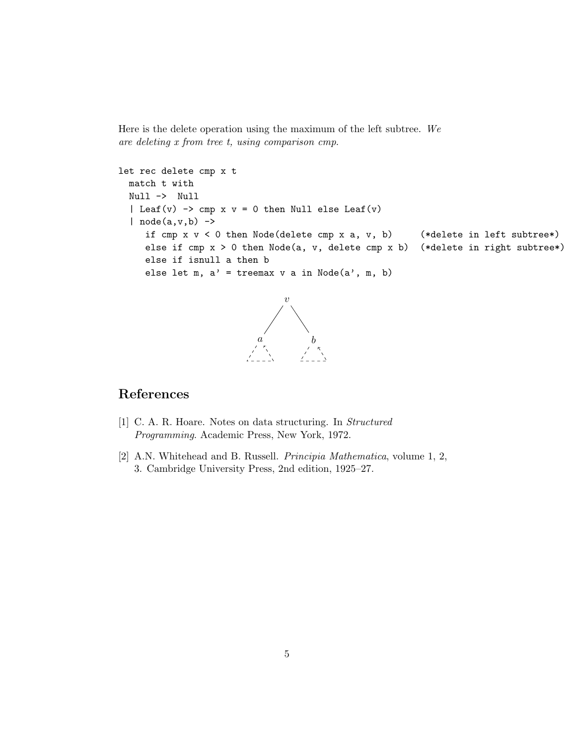Here is the delete operation using the maximum of the left subtree. We are deleting x from tree t, using comparison cmp.

```
let rec delete cmp x t
  match t with
  Null -> Null
  | Leaf(v) \rightarrow cmp x v = 0 then Null else Leaf(v)
  | node(a,v,b) \rightarrowif cmp x v < 0 then Node(delete cmp x a, v, b) (*delete in left subtree*)
     else if cmp x > 0 then Node(a, v, delete cmp x b) (*delete in right subtree*)
     else if isnull a then b
     else let m, a' = treemax v a in Node(a', m, b)
```


## References

- <span id="page-4-1"></span>[1] C. A. R. Hoare. Notes on data structuring. In Structured Programming. Academic Press, New York, 1972.
- <span id="page-4-0"></span>[2] A.N. Whitehead and B. Russell. Principia Mathematica, volume 1, 2, 3. Cambridge University Press, 2nd edition, 1925–27.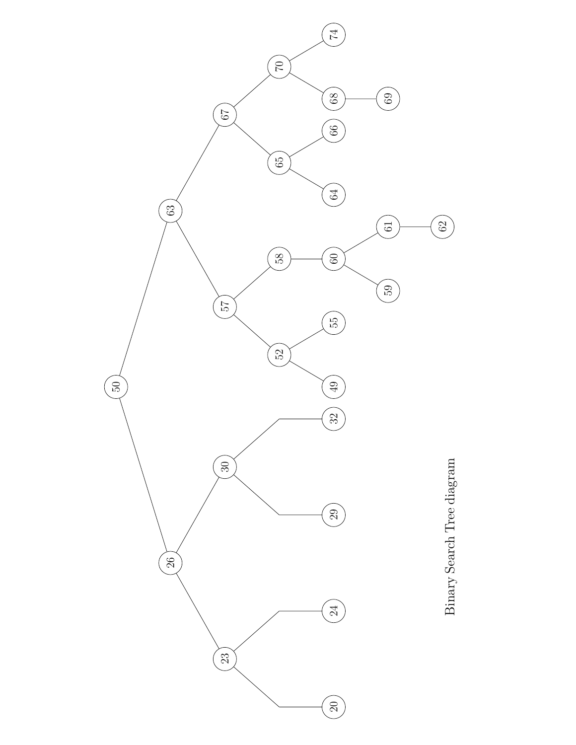

Binary Search Tree diagram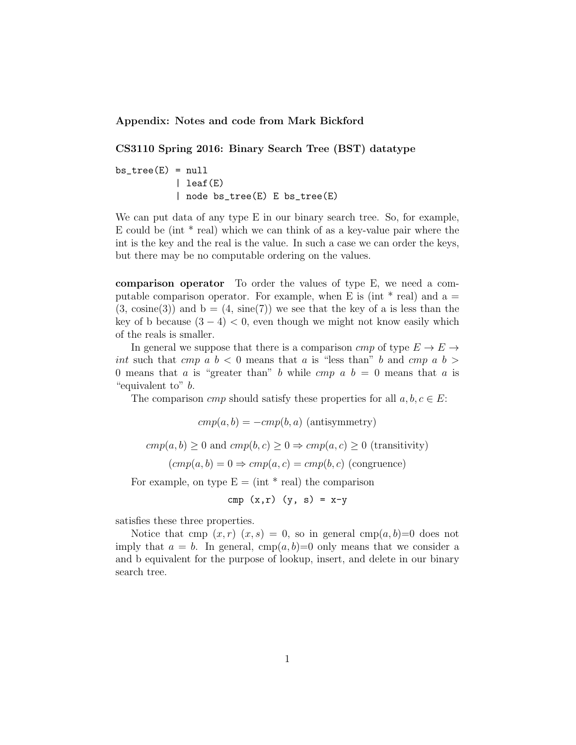Appendix: Notes and code from Mark Bickford

#### CS3110 Spring 2016: Binary Search Tree (BST) datatype

 $bs\_tree(E) = null$ | leaf(E) | node bs\_tree(E) E bs\_tree(E)

We can put data of any type E in our binary search tree. So, for example, E could be (int  $*$  real) which we can think of as a key-value pair where the int is the key and the real is the value. In such a case we can order the keys, but there may be no computable ordering on the values.

comparison operator To order the values of type E, we need a computable comparison operator. For example, when E is (int  $*$  real) and a  $=$  $(3, \text{cosine}(3))$  and  $b = (4, \text{sin}(7))$  we see that the key of a is less than the key of b because  $(3-4) < 0$ , even though we might not know easily which of the reals is smaller.

In general we suppose that there is a comparison cmp of type  $E \to E \to$ int such that cmp a  $b < 0$  means that a is "less than" b and cmp a  $b >$ 0 means that a is "greater than" b while cmp  $a, b = 0$  means that a is "equivalent to" b.

The comparison *cmp* should satisfy these properties for all  $a, b, c \in E$ :

 $cmp(a, b) = -cmp(b, a)$  (antisymmetry)

 $cmp(a, b) \geq 0$  and  $cmp(b, c) \geq 0 \Rightarrow comp(a, c) \geq 0$  (transitivity)

 $(cmp(a, b) = 0 \Rightarrow cmp(a, c) = cmp(b, c)$  (congruence)

For example, on type  $E = (int * real)$  the comparison

$$
\text{cmp }(x,r) (y, s) = x-y
$$

satisfies these three properties.

Notice that cmp  $(x, r)$   $(x, s) = 0$ , so in general cmp $(a, b) = 0$  does not imply that  $a = b$ . In general, cmp $(a, b) = 0$  only means that we consider a and b equivalent for the purpose of lookup, insert, and delete in our binary search tree.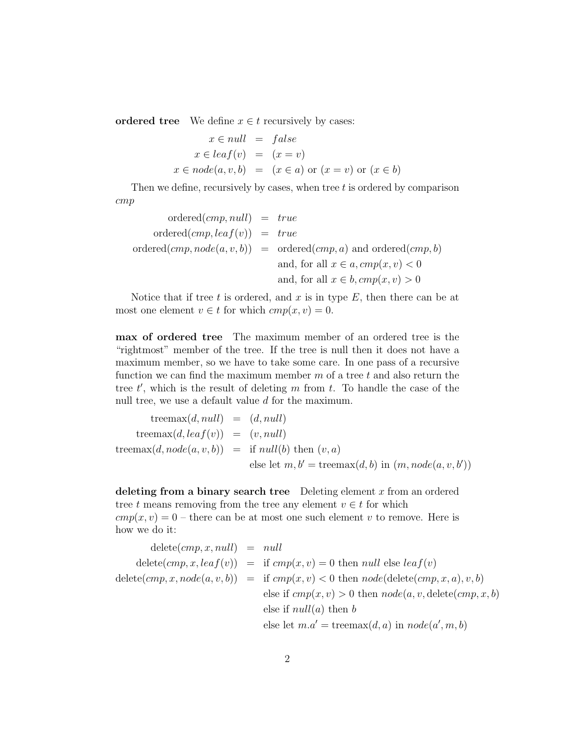ordered tree We define  $x \in t$  recursively by cases:

$$
x \in null = false
$$
  

$$
x \in leaf(v) = (x = v)
$$
  

$$
x \in node(a, v, b) = (x \in a) \text{ or } (x = v) \text{ or } (x \in b)
$$

Then we define, recursively by cases, when tree t is ordered by comparison cmp

$$
ordered(cmp, null) = true
$$
  
\n
$$
ordered(cmp, leaf(v)) = true
$$
  
\n
$$
ordered(cmp, node(a, v, b)) = ordered(cmp, a)
$$
 and ordered(*cmp, b*)  
\nand, for all  $x \in a, cmp(x, v) < 0$   
\nand, for all  $x \in b, cmp(x, v) > 0$ 

Notice that if tree t is ordered, and  $x$  is in type  $E$ , then there can be at most one element  $v \in t$  for which  $cmp(x, v) = 0$ .

max of ordered tree The maximum member of an ordered tree is the "rightmost" member of the tree. If the tree is null then it does not have a maximum member, so we have to take some care. In one pass of a recursive function we can find the maximum member  $m$  of a tree  $t$  and also return the tree  $t'$ , which is the result of deleting m from t. To handle the case of the null tree, we use a default value d for the maximum.

$$
\begin{array}{rcl}\n\text{treemax}(d, null) & = & (d, null) \\
\text{treemax}(d, leaf(v)) & = & (v, null) \\
\text{treemax}(d, node(a, v, b)) & = & \text{if } null(b) \text{ then } (v, a) \\
& \text{else let } m, b' = \text{treemax}(d, b) \text{ in } (m, node(a, v, b'))\n\end{array}
$$

deleting from a binary search tree Deleting element  $x$  from an ordered tree t means removing from the tree any element  $v \in t$  for which  $cmp(x, v) = 0$  – there can be at most one such element v to remove. Here is how we do it:

$$
delete(cmp, x, null) = null
$$
  
\n
$$
delete(cmp, x, leaf(v)) = if comp(x, v) = 0 then null else leaf(v)
$$
  
\n
$$
delete(cmp, x, node(a, v, b)) = if comp(x, v) < 0 then node(delete(cmp, x, a), v, b)
$$
  
\nelse if  $cmp(x, v) > 0$  then node(a, v, delete(cmp, x, b))  
\nelse if  $null(a)$  then b  
\nelse let  $m.a' = \text{treemax}(d, a)$  in  $node(a', m, b)$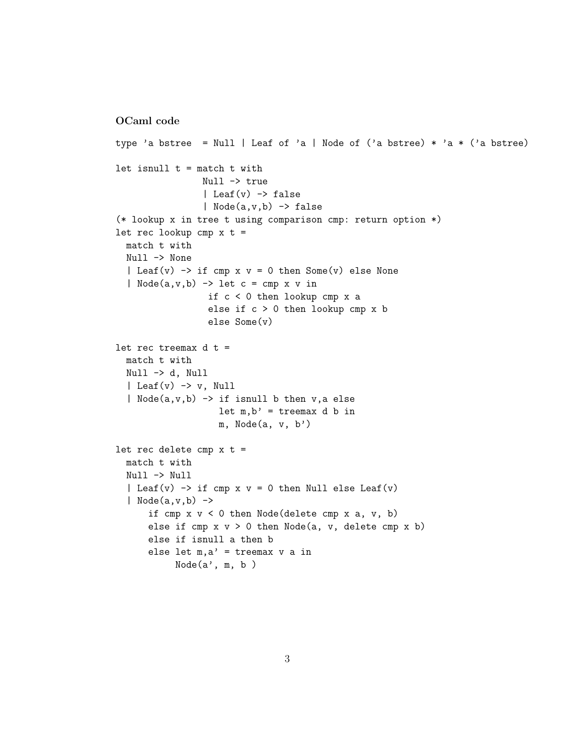#### OCaml code

```
type 'a bstree = Null | Leaf of 'a | Node of ('a bstree) * 'a * ('a bstree)
let isnull t = match t with
                 Null -> true
                 | Leaf(v) \rightarrow false
                 | Node(a,v,b) -> false
(* lookup x in tree t using comparison cmp: return option *)
let rec lookup cmp x t =
 match t with
  Null -> None
  | Leaf(v) \rightarrow if cmp x v = 0 then Some(v) else None
  | Node(a, v, b) -> let c = cmp x v in
                  if c < 0 then lookup cmp x a
                  else if c > 0 then lookup cmp x b
                  else Some(v)
let rec treemax d t =
  match t with
  Null -> d, Null
  | Leaf(v) \rightarrow v, Null
  | Node(a,v,b) \rightarrow \text{if} isnull b then v, a else
                    let m, b' = treemax d b in
                    m, Node(a, v, b')
let rec delete cmp x t =
  match t with
  Null -> Null
  | Leaf(v) \rightarrow if cmp x v = 0 then Null else Leaf(v)
  | Node(a,v,b) \rightarrowif cmp x v < 0 then Node(delete cmp x a, v, b)else if cmp x v > 0 then Node(a, v, delete cmp x b)else if isnull a then b
      else let m, a' = treemax v a in
           Node(a', m, b)
```